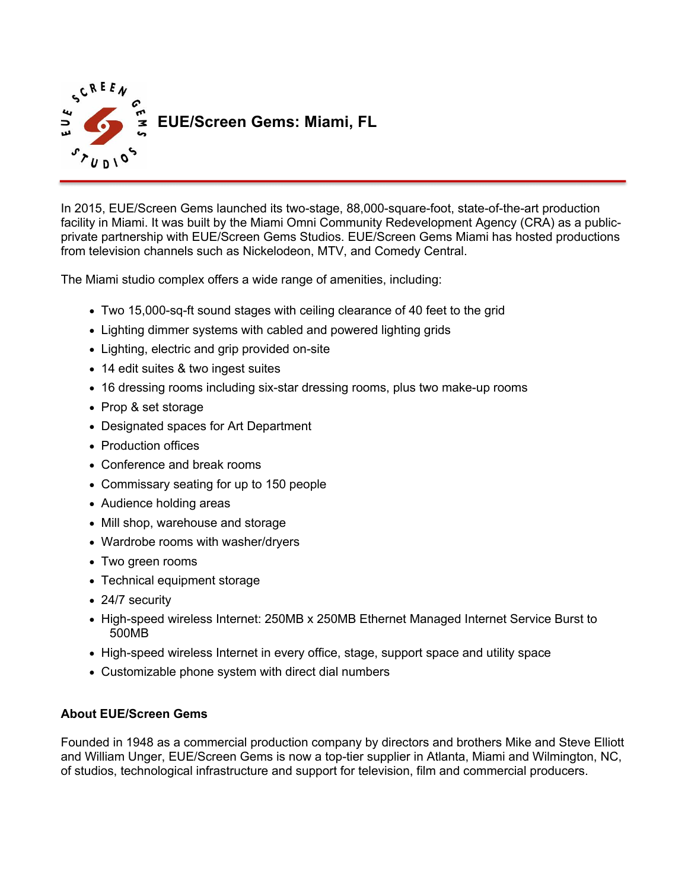

In 2015, EUE/Screen Gems launched its two-stage, 88,000-square-foot, state-of-the-art production facility in Miami. It was built by the Miami Omni Community Redevelopment Agency (CRA) as a publicprivate partnership with EUE/Screen Gems Studios. EUE/Screen Gems Miami has hosted productions from television channels such as Nickelodeon, MTV, and Comedy Central.

The Miami studio complex offers a wide range of amenities, including:

- Two 15,000-sq-ft sound stages with ceiling clearance of 40 feet to the grid
- Lighting dimmer systems with cabled and powered lighting grids
- Lighting, electric and grip provided on-site
- 14 edit suites & two ingest suites
- 16 dressing rooms including six-star dressing rooms, plus two make-up rooms
- Prop & set storage
- Designated spaces for Art Department
- Production offices
- Conference and break rooms
- Commissary seating for up to 150 people
- Audience holding areas
- Mill shop, warehouse and storage
- Wardrobe rooms with washer/dryers
- Two green rooms
- Technical equipment storage
- 24/7 security
- High-speed wireless Internet: 250MB x 250MB Ethernet Managed Internet Service Burst to 500MB
- High-speed wireless Internet in every office, stage, support space and utility space
- Customizable phone system with direct dial numbers

## **About EUE/Screen Gems**

Founded in 1948 as a commercial production company by directors and brothers Mike and Steve Elliott and William Unger, EUE/Screen Gems is now a top-tier supplier in Atlanta, Miami and Wilmington, NC, of studios, technological infrastructure and support for television, film and commercial producers.